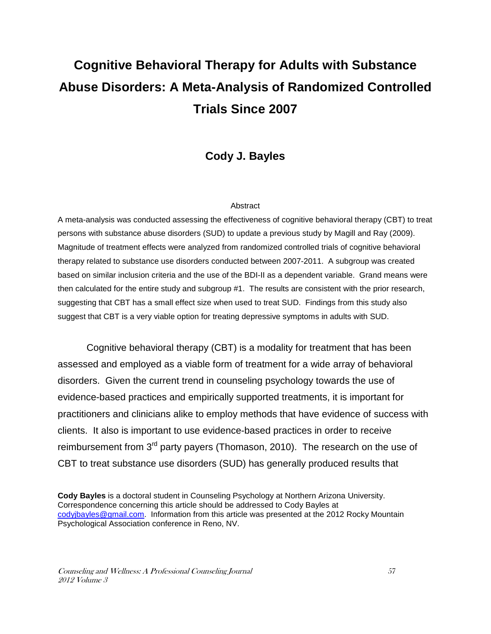# **Cognitive Behavioral Therapy for Adults with Substance Abuse Disorders: A Meta-Analysis of Randomized Controlled Trials Since 2007**

## **Cody J. Bayles**

#### Abstract

A meta-analysis was conducted assessing the effectiveness of cognitive behavioral therapy (CBT) to treat persons with substance abuse disorders (SUD) to update a previous study by Magill and Ray (2009). Magnitude of treatment effects were analyzed from randomized controlled trials of cognitive behavioral therapy related to substance use disorders conducted between 2007-2011. A subgroup was created based on similar inclusion criteria and the use of the BDI-II as a dependent variable. Grand means were then calculated for the entire study and subgroup #1. The results are consistent with the prior research, suggesting that CBT has a small effect size when used to treat SUD. Findings from this study also suggest that CBT is a very viable option for treating depressive symptoms in adults with SUD.

Cognitive behavioral therapy (CBT) is a modality for treatment that has been assessed and employed as a viable form of treatment for a wide array of behavioral disorders. Given the current trend in counseling psychology towards the use of evidence-based practices and empirically supported treatments, it is important for practitioners and clinicians alike to employ methods that have evidence of success with clients. It also is important to use evidence-based practices in order to receive reimbursement from  $3<sup>rd</sup>$  party payers (Thomason, 2010). The research on the use of CBT to treat substance use disorders (SUD) has generally produced results that

**Cody Bayles** is a doctoral student in Counseling Psychology at Northern Arizona University. Correspondence concerning this article should be addressed to Cody Bayles at codyjbayles@gmail.com. Information from this article was presented at the 2012 Rocky Mountain Psychological Association conference in Reno, NV.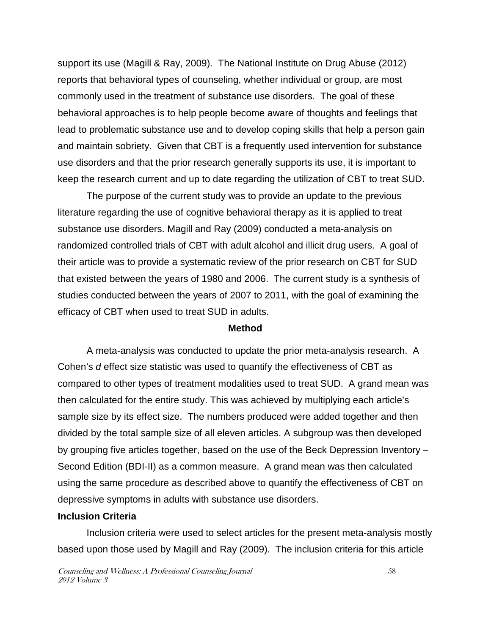support its use (Magill & Ray, 2009). The National Institute on Drug Abuse (2012) reports that behavioral types of counseling, whether individual or group, are most commonly used in the treatment of substance use disorders. The goal of these behavioral approaches is to help people become aware of thoughts and feelings that lead to problematic substance use and to develop coping skills that help a person gain and maintain sobriety. Given that CBT is a frequently used intervention for substance use disorders and that the prior research generally supports its use, it is important to keep the research current and up to date regarding the utilization of CBT to treat SUD.

 The purpose of the current study was to provide an update to the previous literature regarding the use of cognitive behavioral therapy as it is applied to treat substance use disorders. Magill and Ray (2009) conducted a meta-analysis on randomized controlled trials of CBT with adult alcohol and illicit drug users. A goal of their article was to provide a systematic review of the prior research on CBT for SUD that existed between the years of 1980 and 2006. The current study is a synthesis of studies conducted between the years of 2007 to 2011, with the goal of examining the efficacy of CBT when used to treat SUD in adults.

#### **Method**

 A meta-analysis was conducted to update the prior meta-analysis research. A Cohen's d effect size statistic was used to quantify the effectiveness of CBT as compared to other types of treatment modalities used to treat SUD. A grand mean was then calculated for the entire study. This was achieved by multiplying each article's sample size by its effect size. The numbers produced were added together and then divided by the total sample size of all eleven articles. A subgroup was then developed by grouping five articles together, based on the use of the Beck Depression Inventory – Second Edition (BDI-II) as a common measure. A grand mean was then calculated using the same procedure as described above to quantify the effectiveness of CBT on depressive symptoms in adults with substance use disorders.

#### **Inclusion Criteria**

Inclusion criteria were used to select articles for the present meta-analysis mostly based upon those used by Magill and Ray (2009). The inclusion criteria for this article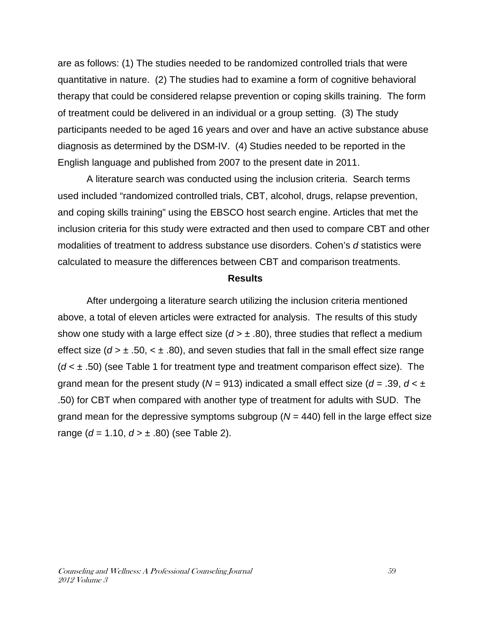are as follows: (1) The studies needed to be randomized controlled trials that were quantitative in nature. (2) The studies had to examine a form of cognitive behavioral therapy that could be considered relapse prevention or coping skills training. The form of treatment could be delivered in an individual or a group setting. (3) The study participants needed to be aged 16 years and over and have an active substance abuse diagnosis as determined by the DSM-IV. (4) Studies needed to be reported in the English language and published from 2007 to the present date in 2011.

 A literature search was conducted using the inclusion criteria. Search terms used included "randomized controlled trials, CBT, alcohol, drugs, relapse prevention, and coping skills training" using the EBSCO host search engine. Articles that met the inclusion criteria for this study were extracted and then used to compare CBT and other modalities of treatment to address substance use disorders. Cohen's d statistics were calculated to measure the differences between CBT and comparison treatments.

#### **Results**

 After undergoing a literature search utilizing the inclusion criteria mentioned above, a total of eleven articles were extracted for analysis. The results of this study show one study with a large effect size  $(d > ± .80)$ , three studies that reflect a medium effect size ( $d > \pm .50$ ,  $< \pm .80$ ), and seven studies that fall in the small effect size range  $(d < \pm 0.50)$  (see Table 1 for treatment type and treatment comparison effect size). The grand mean for the present study ( $N = 913$ ) indicated a small effect size ( $d = .39$ ,  $d < \pm$ .50) for CBT when compared with another type of treatment for adults with SUD. The grand mean for the depressive symptoms subgroup ( $N = 440$ ) fell in the large effect size range ( $d = 1.10$ ,  $d > \pm .80$ ) (see Table 2).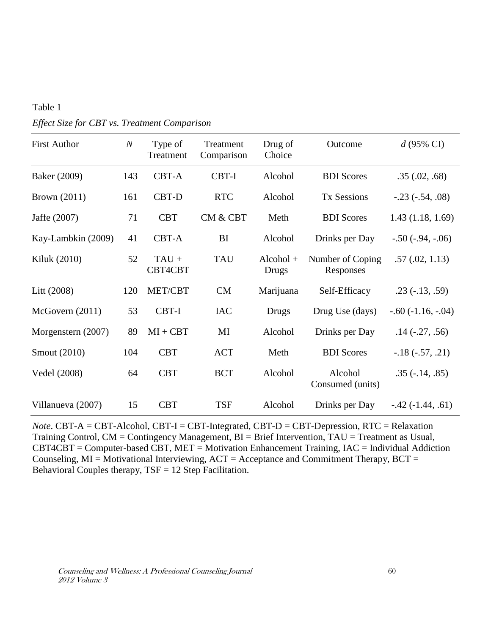| <b>First Author</b> | $\boldsymbol{N}$ | Type of<br>Treatment | Treatment<br>Comparison | Drug of<br>Choice    | Outcome                       | $d(95\% \text{ CI})$  |
|---------------------|------------------|----------------------|-------------------------|----------------------|-------------------------------|-----------------------|
| Baker (2009)        | 143              | CBT-A                | CBT-I                   | Alcohol              | <b>BDI</b> Scores             | .35(.02, .68)         |
| <b>Brown</b> (2011) | 161              | CBT-D                | <b>RTC</b>              | Alcohol              | <b>Tx Sessions</b>            | $-.23(-.54, .08)$     |
| Jaffe (2007)        | 71               | <b>CBT</b>           | <b>CM &amp; CBT</b>     | Meth                 | <b>BDI</b> Scores             | 1.43(1.18, 1.69)      |
| Kay-Lambkin (2009)  | 41               | CBT-A                | BI                      | Alcohol              | Drinks per Day                | $-.50(-.94, -.06)$    |
| Kiluk (2010)        | 52               | $TAU +$<br>CBT4CBT   | <b>TAU</b>              | $Alcohol +$<br>Drugs | Number of Coping<br>Responses | .57(.02, 1.13)        |
| Litt (2008)         | 120              | MET/CBT              | <b>CM</b>               | Marijuana            | Self-Efficacy                 | $.23(-.13, .59)$      |
| McGovern (2011)     | 53               | CBT-I                | <b>IAC</b>              | Drugs                | Drug Use (days)               | $-.60(-1.16, -.04)$   |
| Morgenstern (2007)  | 89               | $MI + CBT$           | MI                      | Alcohol              | Drinks per Day                | $.14$ ( $-.27, .56$ ) |
| Smout (2010)        | 104              | <b>CBT</b>           | <b>ACT</b>              | Meth                 | <b>BDI</b> Scores             | $-.18(-.57, .21)$     |
| Vedel (2008)        | 64               | <b>CBT</b>           | <b>BCT</b>              | Alcohol              | Alcohol<br>Consumed (units)   | $.35(-.14, .85)$      |
| Villanueva (2007)   | 15               | <b>CBT</b>           | <b>TSF</b>              | Alcohol              | Drinks per Day                | $-0.42(-1.44, .61)$   |

*Effect Size for CBT vs. Treatment Comparison* 

Table 1

*Note*. CBT-A = CBT-Alcohol, CBT-I = CBT-Integrated, CBT-D = CBT-Depression, RTC = Relaxation Training Control, CM = Contingency Management, BI = Brief Intervention, TAU = Treatment as Usual, CBT4CBT = Computer-based CBT, MET = Motivation Enhancement Training, IAC = Individual Addiction Counseling,  $MI = Motivational$  Interviewing,  $ACT = Acceptance$  and Commitment Therapy,  $BCT =$ Behavioral Couples therapy, TSF = 12 Step Facilitation.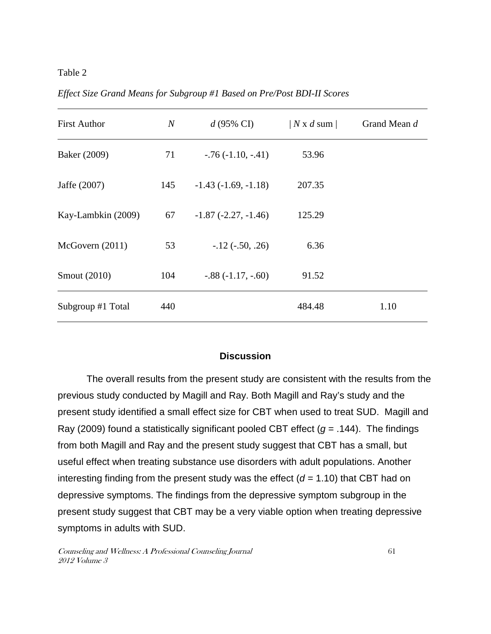#### Table 2

| <b>First Author</b> | $\mathcal N$ | $d(95\% \text{ CI})$     | N x d sum | Grand Mean d |
|---------------------|--------------|--------------------------|-----------|--------------|
| Baker (2009)        | 71           | $-.76(-1.10, -.41)$      | 53.96     |              |
| Jaffe (2007)        | 145          | $-1.43(-1.69,-1.18)$     | 207.35    |              |
| Kay-Lambkin (2009)  | 67           | $-1.87$ $(-2.27, -1.46)$ | 125.29    |              |
| McGovern (2011)     | 53           | $-12$ ( $-50, 26$ )      | 6.36      |              |
| Smout (2010)        | 104          | $-.88(-1.17, -.60)$      | 91.52     |              |
| Subgroup #1 Total   | 440          |                          | 484.48    | 1.10         |

*Effect Size Grand Means for Subgroup #1 Based on Pre/Post BDI-II Scores* 

### **Discussion**

 The overall results from the present study are consistent with the results from the previous study conducted by Magill and Ray. Both Magill and Ray's study and the present study identified a small effect size for CBT when used to treat SUD. Magill and Ray (2009) found a statistically significant pooled CBT effect ( $g = .144$ ). The findings from both Magill and Ray and the present study suggest that CBT has a small, but useful effect when treating substance use disorders with adult populations. Another interesting finding from the present study was the effect ( $d = 1.10$ ) that CBT had on depressive symptoms. The findings from the depressive symptom subgroup in the present study suggest that CBT may be a very viable option when treating depressive symptoms in adults with SUD.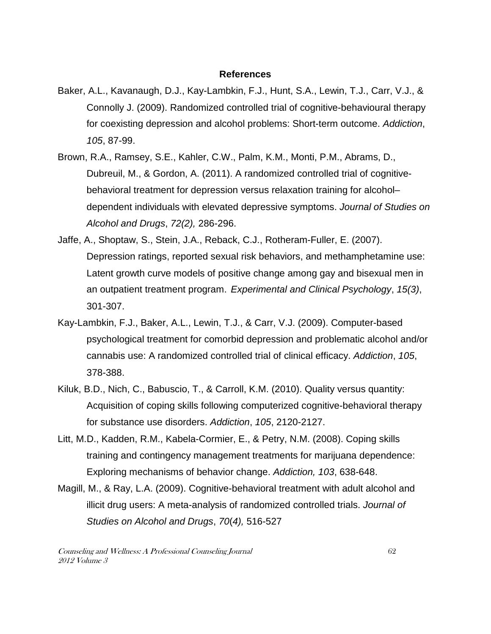#### **References**

- Baker, A.L., Kavanaugh, D.J., Kay-Lambkin, F.J., Hunt, S.A., Lewin, T.J., Carr, V.J., & Connolly J. (2009). Randomized controlled trial of cognitive-behavioural therapy for coexisting depression and alcohol problems: Short-term outcome. Addiction, 105, 87-99.
- Brown, R.A., Ramsey, S.E., Kahler, C.W., Palm, K.M., Monti, P.M., Abrams, D., Dubreuil, M., & Gordon, A. (2011). A randomized controlled trial of cognitive behavioral treatment for depression versus relaxation training for alcohol– dependent individuals with elevated depressive symptoms. Journal of Studies on Alcohol and Drugs, 72(2), 286-296.
- Jaffe, A., Shoptaw, S., Stein, J.A., Reback, C.J., Rotheram-Fuller, E. (2007). Depression ratings, reported sexual risk behaviors, and methamphetamine use: Latent growth curve models of positive change among gay and bisexual men in an outpatient treatment program. Experimental and Clinical Psychology, 15(3), 301-307.
- Kay-Lambkin, F.J., Baker, A.L., Lewin, T.J., & Carr, V.J. (2009). Computer-based psychological treatment for comorbid depression and problematic alcohol and/or cannabis use: A randomized controlled trial of clinical efficacy. Addiction, 105, 378-388.
- Kiluk, B.D., Nich, C., Babuscio, T., & Carroll, K.M. (2010). Quality versus quantity: Acquisition of coping skills following computerized cognitive-behavioral therapy for substance use disorders. Addiction, 105, 2120-2127.
- Litt, M.D., Kadden, R.M., Kabela-Cormier, E., & Petry, N.M. (2008). Coping skills training and contingency management treatments for marijuana dependence: Exploring mechanisms of behavior change. Addiction, 103, 638-648.
- Magill, M., & Ray, L.A. (2009). Cognitive-behavioral treatment with adult alcohol and illicit drug users: A meta-analysis of randomized controlled trials. Journal of Studies on Alcohol and Drugs, 70(4), 516-527